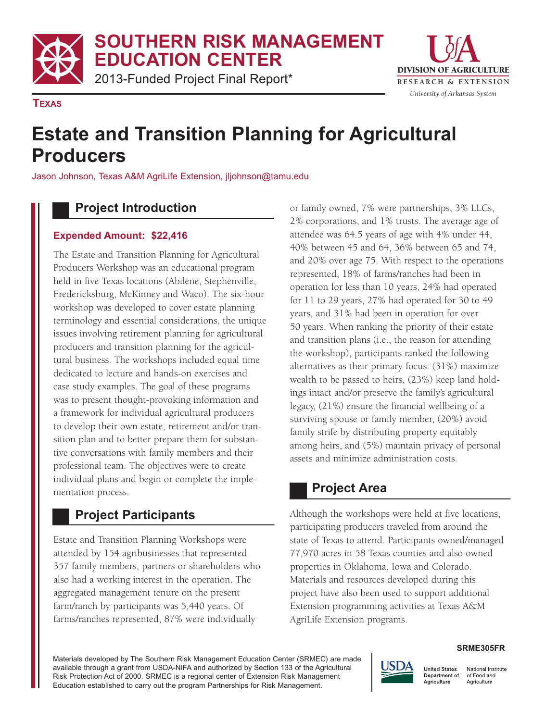**SOUTHERN RISK MANAGEMENT**

**EDUCATION CENTER**

2013-Funded Project Final Report\*



**TEXAS**

# **Estate and Transition Planning for Agricultural Producers**

Jason Johnson, Texas A&M AgriLife Extension, jljohnson@tamu.edu

## **Project Introduction**

#### **Expended Amount: \$22,416**

The Estate and Transition Planning for Agricultural Producers Workshop was an educational program held in five Texas locations (Abilene, Stephenville, Fredericksburg, McKinney and Waco). The six-hour workshop was developed to cover estate planning terminology and essential considerations, the unique issues involving retirement planning for agricultural producers and transition planning for the agricultural business. The workshops included equal time dedicated to lecture and hands-on exercises and case study examples. The goal of these programs was to present thought-provoking information and a framework for individual agricultural producers to develop their own estate, retirement and/or transition plan and to better prepare them for substantive conversations with family members and their professional team. The objectives were to create individual plans and begin or complete the implementation process.

# **Project Participants**

Estate and Transition Planning Workshops were attended by 154 agribusinesses that represented 357 family members, partners or shareholders who also had a working interest in the operation. The aggregated management tenure on the present farm/ranch by participants was 5,440 years. Of farms/ranches represented, 87% were individually

or family owned, 7% were partnerships, 3% LLCs, 2% corporations, and 1% trusts. The average age of attendee was 64.5 years of age with 4% under 44, 40% between 45 and 64, 36% between 65 and 74, and 20% over age 75. With respect to the operations represented, 18% of farms/ranches had been in operation for less than 10 years, 24% had operated for 11 to 29 years, 27% had operated for 30 to 49 years, and 31% had been in operation for over 50 years. When ranking the priority of their estate and transition plans (i.e., the reason for attending the workshop), participants ranked the following alternatives as their primary focus: (31%) maximize wealth to be passed to heirs, (23%) keep land holdings intact and/or preserve the family's agricultural legacy, (21%) ensure the financial wellbeing of a surviving spouse or family member, (20%) avoid family strife by distributing property equitably among heirs, and (5%) maintain privacy of personal assets and minimize administration costs.

## **Project Area**

Although the workshops were held at five locations, participating producers traveled from around the state of Texas to attend. Participants owned/managed 77,970 acres in 58 Texas counties and also owned properties in Oklahoma, Iowa and Colorado. Materials and resources developed during this project have also been used to support additional Extension programming activities at Texas A&M AgriLife Extension programs.

Materials developed by The Southern Risk Management Education Center (SRMEC) are made available through a grant from USDA-NIFA and authorized by Section 133 of the Agricultural Risk Protection Act of 2000. SRMEC is a regional center of Extension Risk Management Education established to carry out the program Partnerships for Risk Management.



Agriculture

**SRME305FR** National Institute of Food and

Agriculture